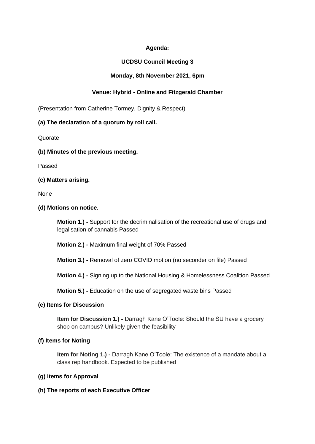# **Agenda:**

# **UCDSU Council Meeting 3**

# **Monday, 8th November 2021, 6pm**

# **Venue: Hybrid - Online and Fitzgerald Chamber**

(Presentation from Catherine Tormey, Dignity & Respect)

### **(a) The declaration of a quorum by roll call.**

**Quorate** 

**(b) Minutes of the previous meeting.**

Passed

**(c) Matters arising.**

None

**(d) Motions on notice.**

**Motion 1.) -** Support for the decriminalisation of the recreational use of drugs and legalisation of cannabis Passed

**Motion 2.) -** Maximum final weight of 70% Passed

**Motion 3.) -** Removal of zero COVID motion (no seconder on file) Passed

**Motion 4.) -** Signing up to the National Housing & Homelessness Coalition Passed

**Motion 5.) -** Education on the use of segregated waste bins Passed

### **(e) Items for Discussion**

**Item for Discussion 1.) -** Darragh Kane O'Toole: Should the SU have a grocery shop on campus? Unlikely given the feasibility

### **(f) Items for Noting**

**Item for Noting 1.) -** Darragh Kane O'Toole: The existence of a mandate about a class rep handbook. Expected to be published

# **(g) Items for Approval**

**(h) The reports of each Executive Officer**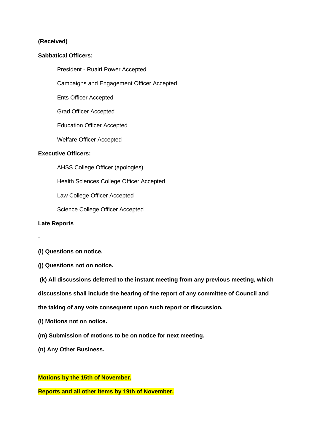### **(Received)**

#### **Sabbatical Officers:**

President - Ruairí Power Accepted

Campaigns and Engagement Officer Accepted

Ents Officer Accepted

Grad Officer Accepted

Education Officer Accepted

Welfare Officer Accepted

## **Executive Officers:**

AHSS College Officer (apologies)

Health Sciences College Officer Accepted

Law College Officer Accepted

Science College Officer Accepted

#### **Late Reports**

**-**

- **(i) Questions on notice.**
- **(j) Questions not on notice.**

**(k) All discussions deferred to the instant meeting from any previous meeting, which**

**discussions shall include the hearing of the report of any committee of Council and**

**the taking of any vote consequent upon such report or discussion.**

**(l) Motions not on notice.**

**(m) Submission of motions to be on notice for next meeting.**

**(n) Any Other Business.**

## **Motions by the 15th of November.**

**Reports and all other items by 19th of November.**